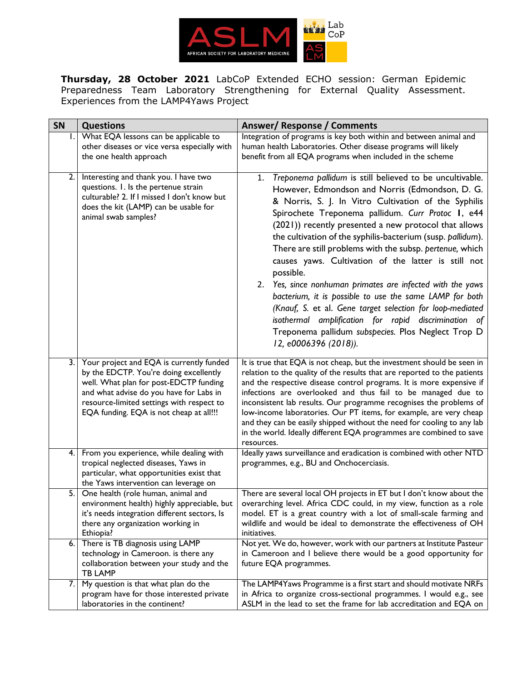

**Thursday, 28 October 2021** LabCoP Extended ECHO session: German Epidemic Preparedness Team Laboratory Strengthening for External Quality Assessment. Experiences from the LAMP4Yaws Project

| <b>SN</b> | <b>Questions</b>                                                                                                                                                                                                                                                | <b>Answer/ Response / Comments</b>                                                                                                                                                                                                                                                                                                                                                                                                                                                                                                                                                                                                                                                                                                                                                                                  |
|-----------|-----------------------------------------------------------------------------------------------------------------------------------------------------------------------------------------------------------------------------------------------------------------|---------------------------------------------------------------------------------------------------------------------------------------------------------------------------------------------------------------------------------------------------------------------------------------------------------------------------------------------------------------------------------------------------------------------------------------------------------------------------------------------------------------------------------------------------------------------------------------------------------------------------------------------------------------------------------------------------------------------------------------------------------------------------------------------------------------------|
| Ι.        | What EQA lessons can be applicable to                                                                                                                                                                                                                           | Integration of programs is key both within and between animal and                                                                                                                                                                                                                                                                                                                                                                                                                                                                                                                                                                                                                                                                                                                                                   |
|           | other diseases or vice versa especially with                                                                                                                                                                                                                    | human health Laboratories. Other disease programs will likely                                                                                                                                                                                                                                                                                                                                                                                                                                                                                                                                                                                                                                                                                                                                                       |
|           | the one health approach                                                                                                                                                                                                                                         | benefit from all EQA programs when included in the scheme                                                                                                                                                                                                                                                                                                                                                                                                                                                                                                                                                                                                                                                                                                                                                           |
| 2.        | Interesting and thank you. I have two<br>questions. I. Is the pertenue strain<br>culturable? 2. If I missed I don't know but<br>does the kit (LAMP) can be usable for<br>animal swab samples?                                                                   | Treponema pallidum is still believed to be uncultivable.<br>1.<br>However, Edmondson and Norris (Edmondson, D. G.<br>& Norris, S. J. In Vitro Cultivation of the Syphilis<br>Spirochete Treponema pallidum. Curr Protoc I, e44<br>(2021)) recently presented a new protocol that allows<br>the cultivation of the syphilis-bacterium (susp. pallidum).<br>There are still problems with the subsp. pertenue, which<br>causes yaws. Cultivation of the latter is still not<br>possible.<br>2. Yes, since nonhuman primates are infected with the yaws<br>bacterium, it is possible to use the same LAMP for both<br>(Knauf, S. et al. Gene target selection for loop-mediated<br>isothermal amplification for rapid discrimination of<br>Treponema pallidum subspecies. Plos Neglect Trop D<br>12, e0006396 (2018)). |
| 3.        | Your project and EQA is currently funded<br>by the EDCTP. You're doing excellently<br>well. What plan for post-EDCTP funding<br>and what advise do you have for Labs in<br>resource-limited settings with respect to<br>EQA funding. EQA is not cheap at all!!! | It is true that EQA is not cheap, but the investment should be seen in<br>relation to the quality of the results that are reported to the patients<br>and the respective disease control programs. It is more expensive if<br>infections are overlooked and thus fail to be managed due to<br>inconsistent lab results. Our programme recognises the problems of<br>low-income laboratories. Our PT items, for example, are very cheap<br>and they can be easily shipped without the need for cooling to any lab<br>in the world. Ideally different EQA programmes are combined to save<br>resources.                                                                                                                                                                                                               |
| 4.        | From you experience, while dealing with<br>tropical neglected diseases, Yaws in<br>particular, what opportunities exist that<br>the Yaws intervention can leverage on                                                                                           | Ideally yaws surveillance and eradication is combined with other NTD<br>programmes, e.g., BU and Onchocerciasis.                                                                                                                                                                                                                                                                                                                                                                                                                                                                                                                                                                                                                                                                                                    |
| 5.        | One health (role human, animal and<br>environment health) highly appreciable, but<br>it's needs integration different sectors, Is<br>there any organization working in<br>Ethiopia?                                                                             | There are several local OH projects in ET but I don't know about the<br>overarching level. Africa CDC could, in my view, function as a role<br>model. ET is a great country with a lot of small-scale farming and<br>wildlife and would be ideal to demonstrate the effectiveness of OH<br>initiatives.                                                                                                                                                                                                                                                                                                                                                                                                                                                                                                             |
| 6.        | There is TB diagnosis using LAMP<br>technology in Cameroon. is there any<br>collaboration between your study and the<br><b>TB LAMP</b>                                                                                                                          | Not yet. We do, however, work with our partners at Institute Pasteur<br>in Cameroon and I believe there would be a good opportunity for<br>future EQA programmes.                                                                                                                                                                                                                                                                                                                                                                                                                                                                                                                                                                                                                                                   |
| 7.        | My question is that what plan do the                                                                                                                                                                                                                            | The LAMP4Yaws Programme is a first start and should motivate NRFs                                                                                                                                                                                                                                                                                                                                                                                                                                                                                                                                                                                                                                                                                                                                                   |
|           | program have for those interested private                                                                                                                                                                                                                       | in Africa to organize cross-sectional programmes. I would e.g., see                                                                                                                                                                                                                                                                                                                                                                                                                                                                                                                                                                                                                                                                                                                                                 |
|           | laboratories in the continent?                                                                                                                                                                                                                                  | ASLM in the lead to set the frame for lab accreditation and EQA on                                                                                                                                                                                                                                                                                                                                                                                                                                                                                                                                                                                                                                                                                                                                                  |